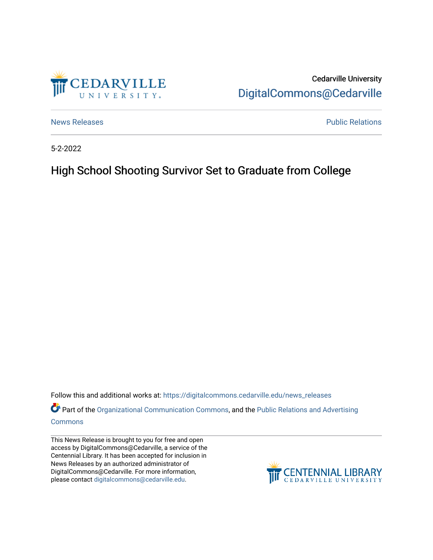

Cedarville University [DigitalCommons@Cedarville](https://digitalcommons.cedarville.edu/) 

[News Releases](https://digitalcommons.cedarville.edu/news_releases) **Public Relations Public Relations** 

5-2-2022

## High School Shooting Survivor Set to Graduate from College

Follow this and additional works at: [https://digitalcommons.cedarville.edu/news\\_releases](https://digitalcommons.cedarville.edu/news_releases?utm_source=digitalcommons.cedarville.edu%2Fnews_releases%2F1546&utm_medium=PDF&utm_campaign=PDFCoverPages) 

Part of the [Organizational Communication Commons](http://network.bepress.com/hgg/discipline/335?utm_source=digitalcommons.cedarville.edu%2Fnews_releases%2F1546&utm_medium=PDF&utm_campaign=PDFCoverPages), and the Public Relations and Advertising [Commons](http://network.bepress.com/hgg/discipline/336?utm_source=digitalcommons.cedarville.edu%2Fnews_releases%2F1546&utm_medium=PDF&utm_campaign=PDFCoverPages)

This News Release is brought to you for free and open access by DigitalCommons@Cedarville, a service of the Centennial Library. It has been accepted for inclusion in News Releases by an authorized administrator of DigitalCommons@Cedarville. For more information, please contact [digitalcommons@cedarville.edu](mailto:digitalcommons@cedarville.edu).

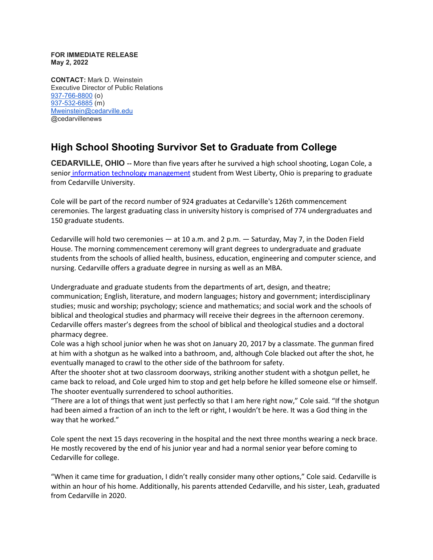**FOR IMMEDIATE RELEASE May 2, 2022**

**CONTACT:** Mark D. Weinstein Executive Director of Public Relations [937-766-8800](tel:937-766-8800) (o) [937-532-6885](tel:937-532-6885) (m) [Mweinstein@cedarville.edu](mailto:Mweinstein@cedarville.edu) @cedarvillenews

## **High School Shooting Survivor Set to Graduate from College**

**CEDARVILLE, OHIO --** More than five years after he survived a high school shooting, Logan Cole, a senior [information technology management](https://www.cedarville.edu/academic-programs/information-technology-management) student from West Liberty, Ohio is preparing to graduate from Cedarville University.

Cole will be part of the record number of 924 graduates at Cedarville's 126th commencement ceremonies. The largest graduating class in university history is comprised of 774 undergraduates and 150 graduate students.

Cedarville will hold two ceremonies — at 10 a.m. and 2 p.m. — Saturday, May 7, in the Doden Field House. The morning commencement ceremony will grant degrees to undergraduate and graduate students from the schools of allied health, business, education, engineering and computer science, and nursing. Cedarville offers a graduate degree in nursing as well as an MBA.

Undergraduate and graduate students from the departments of art, design, and theatre; communication; English, literature, and modern languages; history and government; interdisciplinary studies; music and worship; psychology; science and mathematics; and social work and the schools of biblical and theological studies and pharmacy will receive their degrees in the afternoon ceremony. Cedarville offers master's degrees from the school of biblical and theological studies and a doctoral pharmacy degree.

Cole was a high school junior when he was shot on January 20, 2017 by a classmate. The gunman fired at him with a shotgun as he walked into a bathroom, and, although Cole blacked out after the shot, he eventually managed to crawl to the other side of the bathroom for safety.

After the shooter shot at two classroom doorways, striking another student with a shotgun pellet, he came back to reload, and Cole urged him to stop and get help before he killed someone else or himself. The shooter eventually surrendered to school authorities.

"There are a lot of things that went just perfectly so that I am here right now," Cole said. "If the shotgun had been aimed a fraction of an inch to the left or right, I wouldn't be here. It was a God thing in the way that he worked."

Cole spent the next 15 days recovering in the hospital and the next three months wearing a neck brace. He mostly recovered by the end of his junior year and had a normal senior year before coming to Cedarville for college.

"When it came time for graduation, I didn't really consider many other options," Cole said. Cedarville is within an hour of his home. Additionally, his parents attended Cedarville, and his sister, Leah, graduated from Cedarville in 2020.